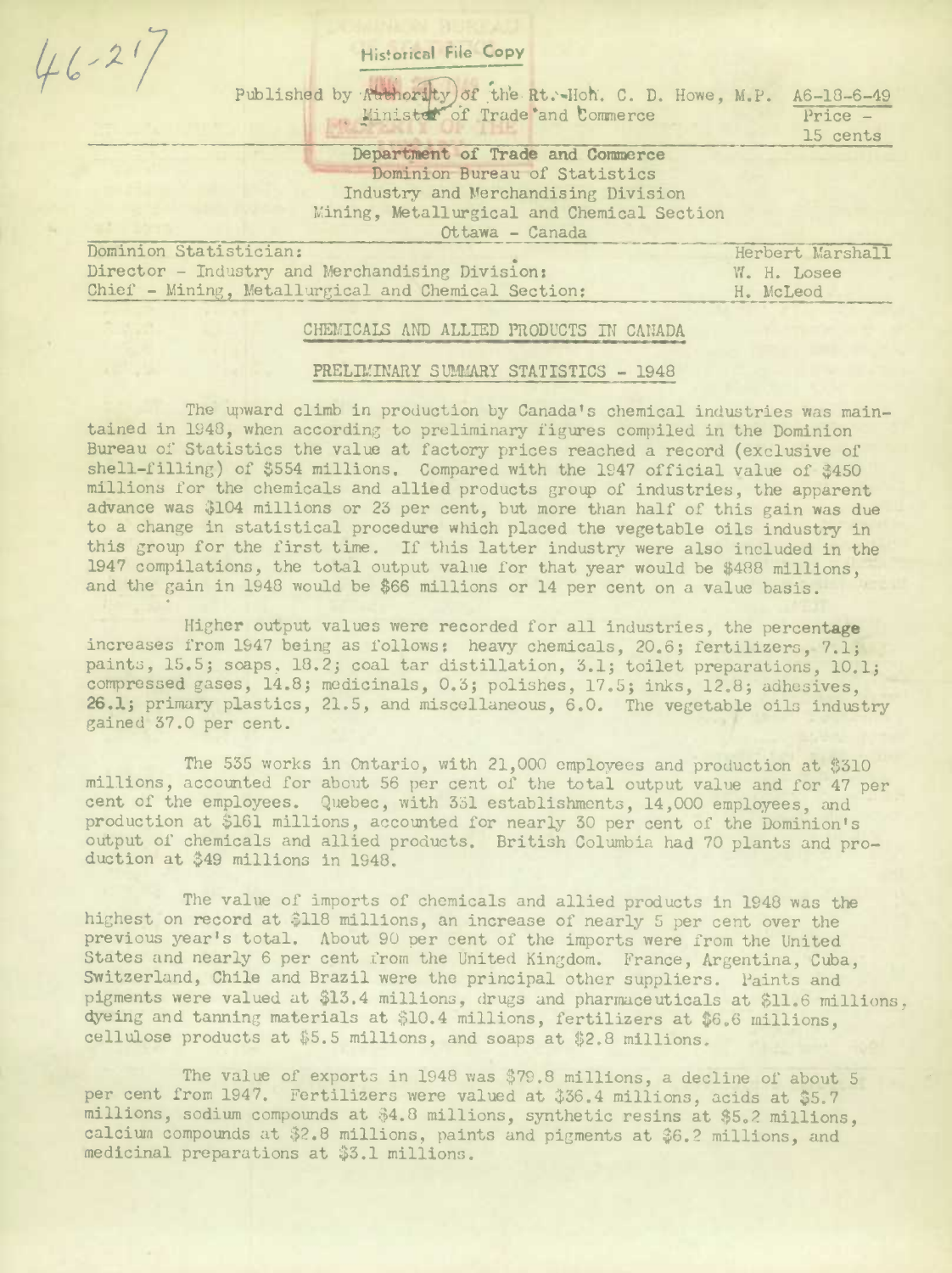| <b>Historical File Copy</b>                              |             |                                           |
|----------------------------------------------------------|-------------|-------------------------------------------|
| Published by Authority) of the Rt. Hoh. C. D. Howe, M.P. |             | $A6 - 18 - 6 - 49$<br>Price -<br>15 cents |
| Department of Trade and Commerce                         |             |                                           |
| Dominion Bureau of Statistics                            |             |                                           |
| Industry and Merchandising Division                      |             |                                           |
| Mining, Metallurgical and Chemical Section               |             |                                           |
| Ottawa - Canada                                          |             |                                           |
| Dominion Statistician:                                   |             | Herbert Marshall                          |
| Director - Industry and Merchandising Division:          | W. H. Losee |                                           |
| Chief - Mining, Metallurgical and Chemical Section:      | H. McLeod   |                                           |
|                                                          |             |                                           |

## CHEMICALS AND ALLIED PRODUCTS IN CANADA

## PRELIMINARY SUMMARY STATISTICS - 1948

The upward climb in production by Canada's chemical industries was maintained in 1948, when according to preliminary figures compiled in the Dominion Bureau of Statistics the value at factory prices reached a record (exclusive of shell-filling) of \$554 millions. Compared with the 1947 official value of \$450 millions for the chemicals and allied products group of industries, the apparent advance was \$104 millions or 23 per cent, but more than half of this gain was due to a change in statistical procedure which placed the vegetable oils industry in this group for the first time. If this latter industry were also included in the 1947 compilations, the total output value for that year would be \$488 millions, and the gain in 1948 would be \$66 millions or 14 per cent on a value basis.

Higher output values were recorded for all industries, the percentage increases from 1947 being as follows: heavy chemicals, 20.6; fertilizers, 7.1; paints, 15.5; soaps, 18.2; coal tar distillation, 3.1; toilet preparations, 10.1; compressed gases, 14.8; medicinals, 0.3; polishes, 17.5; inks, 12.8; adhesives, 26.1; primary plastics, 21.5, and miscellaneous, 6.0. The vegetable oils industry gained 37.0 per cent.

The 535 works in Ontario, with 21,000 employees and production at \$310 millions, accounted for about 56 per cent of the total output value and for 47 per cent of the employees. Quebec, with 331 establishments, 14,000 employees, and production at \$161 millions, accounted for nearly 30 per cent of the Dominion's output of chemicals and allied products. British Columbia had 70 plants and production at \$49 millions in 1948.

The value of imports of chemicals and allied products in 1948 was the highest on record at \$118 millions, an increase of nearly 5 per cent over the previous year's total. About 90 per cent of the imports were from the United States and nearly 6 per cent from the United Kingdom. France, Argentina, Cuba, Switzerland, Chile and Brazil were the principal other suppliers. Paints and pigments were valued at \$13.4 millions, drugs and pharmaceuticals at \$11.6 millions, dyeing and tanning materials at \$10.4 millions, fertilizers at \$6.6 millions. cellulose products at \$5.5 millions, and soaps at \$2.8 millions.

The value of exports in 1948 was \$79.8 millions, a decline of about 5 per cent from 1947. Fertilizers were valued at \$36.4 millions, acids at \$5.7 millions, sodium compounds at \$4.8 millions, synthetic resins at \$5.2 millions, calcium compounds at \$2.8 millions, paints and pigments at \$6.2 millions, and medicinal preparations at \$3.1 millions.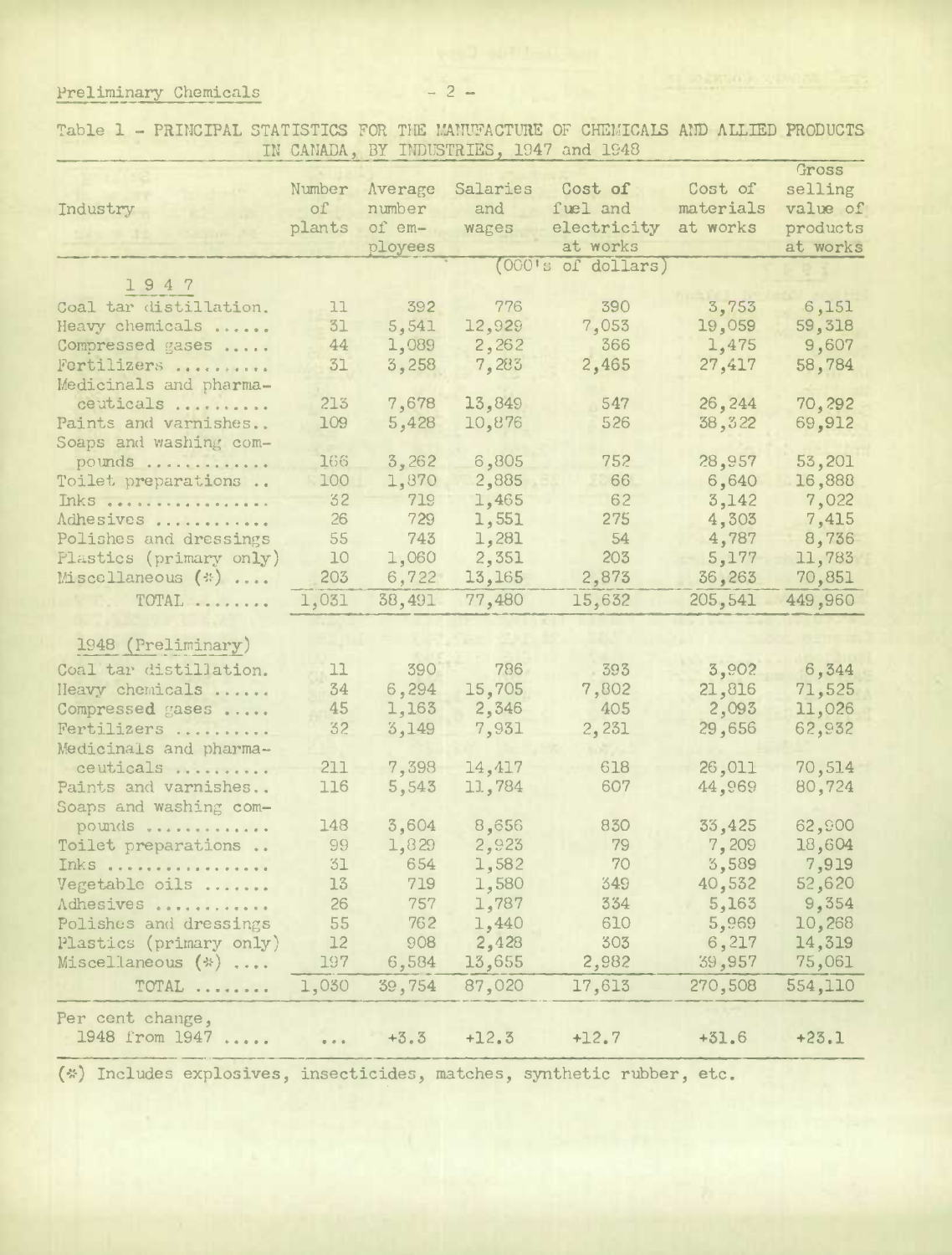Preliminary Chemicals -2-

Table 1 - PRINCIPAL STATISTICS FOR THE MANUFACTURE OF CHEMICAIS AND ALLIED PRODUCTS IN CANADA, BY INDUSTRIES, 1947 and 1948

|                                  |                                                              |         |          |                    |           | Gross    |
|----------------------------------|--------------------------------------------------------------|---------|----------|--------------------|-----------|----------|
|                                  | Number                                                       | Average | Salaries | Cost of            | Cost of   | selling  |
| Industry                         | $\circ$ f                                                    | number  | and      | fuel and           | materials | value of |
|                                  | plants                                                       | of em-  | wages    | electricity        | at works  | products |
|                                  |                                                              | ployees |          | at works           |           | at works |
|                                  |                                                              |         |          | (OCO's of dollars) |           |          |
| 1947                             |                                                              |         |          |                    |           |          |
| Coal tar distillation.           | 11                                                           | 392     | 776      | 390                | 3,753     | 6,151    |
| Heavy chemicals                  | 31                                                           | 5,541   | 12,929   | 7,053              | 19,059    | 59,318   |
| Compressed gases                 | 44                                                           | 1,089   | 2,262    | 366                | 1,475     | 9,607    |
| Fertilizers                      | 31                                                           | 3,258   | 7,283    | 2,465              | 27,417    | 58,784   |
| Medicinals and pharma-           |                                                              |         |          |                    |           |          |
| ceuticals                        | 213                                                          | 7,678   | 13,849   | 547                | 26,244    | 70,292   |
|                                  | 109                                                          | 5,428   | 10,876   | 526                |           |          |
| Paints and varnishes             |                                                              |         |          |                    | 38, 322   | 69,912   |
| Soaps and washing com-           |                                                              |         |          | 752                |           |          |
| pounds                           | 166                                                          | 3,262   | 6,805    |                    | 28,957    | 53,201   |
| Toilet preparations              | 100                                                          | 1,870   | 2,885    | 66                 | 6,640     | 16,888   |
| Inks                             | 32                                                           | 719     | 1,465    | 62                 | 3,142     | 7,022    |
| Adhesives                        | 26                                                           | 729     | 1,551    | 275                | 4,303     | 7,415    |
| Polishes and dressings           | 55                                                           | 743     | 1,281    | 54                 | 4,787     | 8,736    |
| Plastics (primary only)          | 10                                                           | 1,060   | 2,351    | 203                | 5,177     | 11,783   |
| Miscellaneous $(*) \ldots$       | 203                                                          | 6,722   | 13,165   | 2,873              | 36,263    | 70,851   |
| $\text{TOTAL} \dots \dots \dots$ | 1,031                                                        | 38,491  | 77,480   | 15,632             | 205,541   | 449,960  |
|                                  |                                                              |         |          |                    |           |          |
| 1948 (Preliminary)               |                                                              |         |          |                    |           |          |
| Coal tar distillation.           | 11                                                           | 390     | 786      | 393                | 3,902     | 6,344    |
| Heavy chemicals                  | 34                                                           | 6,294   | 15,705   | 7,802              | 21,816    | 71,525   |
| Compressed gases                 | 45                                                           | 1,163   | 2,346    | 405                | 2,093     | 11,026   |
| Fertilizers                      | 32                                                           | 3,149   | 7,931    | 2,231              | 29,656    | 62,932   |
| Medicinals and pharma-           |                                                              |         |          |                    |           |          |
| ceuticals                        | 211                                                          | 7,398   | 14,417   | 618                | 26,011    | 70,514   |
| Paints and varnishes             | 116                                                          | 5,543   | 11,784   | 607                | 44,969    | 80,724   |
| Soaps and washing com-           |                                                              |         |          |                    |           |          |
| pounds                           | 148                                                          | 3,604   | 8,656    | 830                | 33,425    | 62,900   |
| Toilet preparations              | 99                                                           | 1,829   | 2,923    | 79                 | 7,209     | 18,604   |
|                                  | 31                                                           | 654     |          | 70                 | 3,589     |          |
| Inks                             |                                                              |         | 1,582    |                    |           | 7,919    |
| Vegetable oils                   | 13 <sub>1</sub>                                              | 719     | 1,580    | 349                | 40,532    | 52,620   |
| Adhesives                        | 26                                                           | 757     | 1,787    | 334                | 5,163     | 9,354    |
| Polishes and dressings           | 55                                                           | 762     | 1,440    | 610                | 5,969     | 10,268   |
| Plastics (primary only)          | 12                                                           | 908     | 2,428    | 303                | 6,217     | 14,319   |
| Miscellaneous (*)                | 197                                                          | 6,584   | 13,655   | 2,982              | 39,957    | 75,061   |
| TOTAL                            | 1,030                                                        | 39,754  | 87,020   | 17,613             | 270,508   | 554,110  |
| Per cent change,                 |                                                              |         |          |                    |           |          |
| 1948 from 1947                   | $\begin{array}{ccccc}\bullet&\circ&\circ&\bullet\end{array}$ | $+3.3$  | $+12.3$  | $+12.7$            | $+31.6$   | $+23.1$  |
|                                  |                                                              |         |          |                    |           |          |

(\*) Includes explosives, insecticides, matches, synthetic rubber, etc.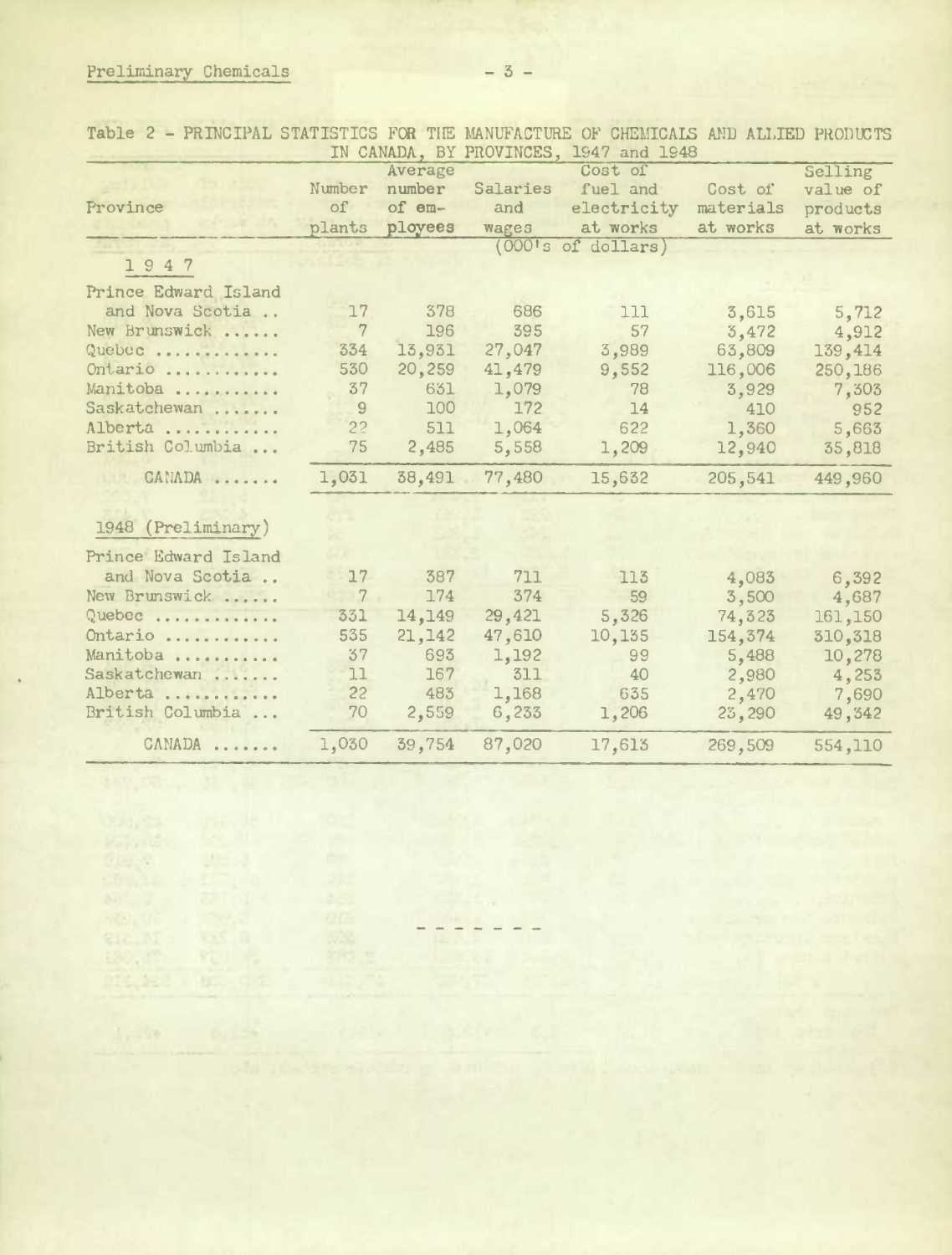$\mathcal{G}:=\{S\}$ 

180,17

 $\begin{array}{lll} \mathcal{G} \boxtimes \mathcal{G} & \mathcal{G} \boxtimes \mathcal{A} \\ \boxtimes \mathcal{G} & \boxtimes \mathcal{G} \\ \boxtimes \mathcal{G} & \boxtimes \mathcal{G} \\ \boxtimes \mathcal{G} & \boxtimes \mathcal{G} \\ \boxtimes \mathcal{G} & \boxtimes \mathcal{G} \end{array}$ 

**TALLES** 

Table 2 - PRINCIPAL STATISTICS FOR THE MANUFACTURE OF CHEMICAlS AND ALLIED PRODUZTS

|                      |                |          |               | IN CANADA, BY PROVINCES, 1947 and 1948 |           |          |
|----------------------|----------------|----------|---------------|----------------------------------------|-----------|----------|
|                      |                | Average  |               | Cost of                                |           | Selling  |
|                      | Number         | number   | Salaries      | fuel and                               | Cost of   | value of |
| Province             | of             | of $em-$ | and           | electricity                            | materials | products |
|                      | plants         | ployees  | wages         | at works                               | at works  | at works |
|                      |                |          |               | $(000's$ of dollars)                   |           |          |
| 1947                 |                |          |               |                                        |           |          |
| Prince Edward Island |                |          |               |                                        |           |          |
| and Nova Scotia      | 17             | 378      | 686           | 111                                    | 3,615     | 5,712    |
| New Brunswick        | 7              | 196      | 395           | 57                                     | 3,472     | 4,912    |
| Quebec               | 334            | 13,931   | 27,047        | 3,989                                  | 63,809    | 139,414  |
| Ontario              | 530            | 20,259   | 41,479        | 9,552                                  | 116,006   | 250,186  |
| Manitoba             | 37             | 631      | 1,079         | 78                                     | 3,929     | 7,303    |
| Saskatchewan         | 9              | 100      | 172           | 14                                     | 410       | 952      |
| Alberta              | 2 <sup>2</sup> | 511      | 1,064         | 622                                    | 1,360     | 5,663    |
| British Columbia     | 75             | 2,485    | 5,558         | 1,209                                  | 12,940    | 35,818   |
| CANADA               | 1,031          |          | 38,491 77,480 | 15,632                                 | 205,541   | 449,960  |
| 1948 (Preliminary)   |                |          |               |                                        |           |          |
| Prince Edward Island |                |          |               |                                        |           |          |
| and Nova Scotia      | 17             | 387      | 711           | 113                                    | 4,083     | 6,392    |
| New Brunswick        | $\sqrt{7}$     | 174      | 374           | 59                                     | 3,500     | 4,687    |
| Quebec               | 331            | 14,149   | 29,421        | 5,326                                  | 74,323    | 161,150  |
| Ontario              | 535            | 21,142   | 47,610        | 10,135                                 | 154,374   | 310,318  |
| Manitoba             | 37             | 693      | 1,192         | 99                                     | 5,488     | 10,278   |
| Saskatchewan         | 11             | 167      | 311           | 40                                     | 2,980     | 4,253    |
| Alberta              | 22             | 483      | 1,168         | 635                                    | 2,470     | 7,690    |
| British Columbia     | 70             | 2,559    | 6,233         | 1,206                                  | 23,290    | 49,342   |
| CANADA               | 1,030          | 39,754   | 87,020        | 17,613                                 | 269,509   | 554,110  |

 $\overline{\phantom{a}}$ 

t F  $\sim$